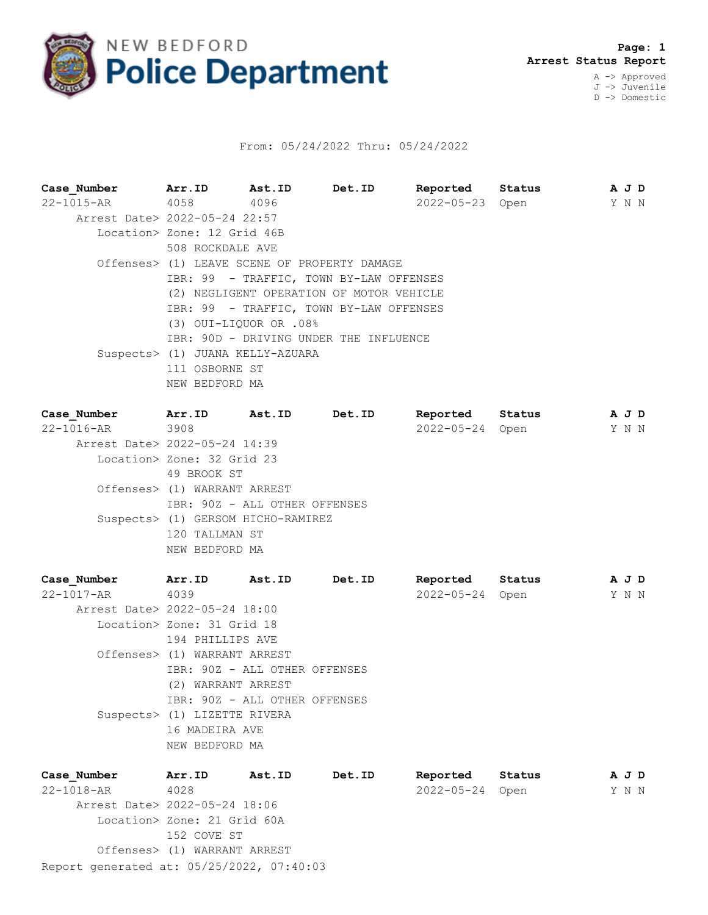

## From: 05/24/2022 Thru: 05/24/2022

| Case Number                   | Arr.ID                                   | <b>Ast.ID</b>            | Det.ID                                       | Reported        | Status |  | A J D |  |  |  |
|-------------------------------|------------------------------------------|--------------------------|----------------------------------------------|-----------------|--------|--|-------|--|--|--|
| 22-1015-AR 4058 4096          |                                          |                          |                                              | 2022-05-23 Open |        |  | Y N N |  |  |  |
| Arrest Date> 2022-05-24 22:57 |                                          |                          |                                              |                 |        |  |       |  |  |  |
|                               | Location> Zone: 12 Grid 46B              |                          |                                              |                 |        |  |       |  |  |  |
|                               | 508 ROCKDALE AVE                         |                          |                                              |                 |        |  |       |  |  |  |
|                               |                                          |                          | Offenses> (1) LEAVE SCENE OF PROPERTY DAMAGE |                 |        |  |       |  |  |  |
|                               | IBR: 99 - TRAFFIC, TOWN BY-LAW OFFENSES  |                          |                                              |                 |        |  |       |  |  |  |
|                               | (2) NEGLIGENT OPERATION OF MOTOR VEHICLE |                          |                                              |                 |        |  |       |  |  |  |
|                               |                                          |                          | IBR: 99 - TRAFFIC, TOWN BY-LAW OFFENSES      |                 |        |  |       |  |  |  |
|                               |                                          | $(3)$ OUI-LIOUOR OR .08% |                                              |                 |        |  |       |  |  |  |
|                               |                                          |                          | IBR: 90D - DRIVING UNDER THE INFLUENCE       |                 |        |  |       |  |  |  |
|                               | Suspects> (1) JUANA KELLY-AZUARA         |                          |                                              |                 |        |  |       |  |  |  |
|                               | 111 OSBORNE ST                           |                          |                                              |                 |        |  |       |  |  |  |
|                               | NEW BEDFORD MA                           |                          |                                              |                 |        |  |       |  |  |  |
|                               |                                          |                          |                                              |                 |        |  |       |  |  |  |

| Case Number                   | Arr.ID                       | Ast.ID                             | Det.ID | Reported         | Status | A J D |  |
|-------------------------------|------------------------------|------------------------------------|--------|------------------|--------|-------|--|
| 22-1016-AR 3908               |                              |                                    |        | $2022 - 05 - 24$ | Open   | Y N N |  |
| Arrest Date> 2022-05-24 14:39 |                              |                                    |        |                  |        |       |  |
|                               | Location> Zone: 32 Grid 23   |                                    |        |                  |        |       |  |
|                               | 49 BROOK ST                  |                                    |        |                  |        |       |  |
|                               | Offenses> (1) WARRANT ARREST |                                    |        |                  |        |       |  |
|                               |                              | IBR: 90Z - ALL OTHER OFFENSES      |        |                  |        |       |  |
|                               |                              | Suspects> (1) GERSOM HICHO-RAMIREZ |        |                  |        |       |  |
|                               | 120 TALLMAN ST               |                                    |        |                  |        |       |  |
|                               | NEW BEDFORD MA               |                                    |        |                  |        |       |  |
|                               |                              |                                    |        |                  |        |       |  |

| Case Number                   | Arr.ID                        | Ast.ID | Det.ID | Reported         | Status | A J D |  |
|-------------------------------|-------------------------------|--------|--------|------------------|--------|-------|--|
| 22-1017-AR                    | 4039                          |        |        | $2022 - 05 - 24$ | Open   | Y N N |  |
| Arrest Date> 2022-05-24 18:00 |                               |        |        |                  |        |       |  |
|                               | Location> Zone: 31 Grid 18    |        |        |                  |        |       |  |
|                               | 194 PHILLIPS AVE              |        |        |                  |        |       |  |
|                               | Offenses> (1) WARRANT ARREST  |        |        |                  |        |       |  |
|                               | IBR: 90Z - ALL OTHER OFFENSES |        |        |                  |        |       |  |
|                               | (2) WARRANT ARREST            |        |        |                  |        |       |  |
|                               | IBR: 90Z - ALL OTHER OFFENSES |        |        |                  |        |       |  |
|                               | Suspects> (1) LIZETTE RIVERA  |        |        |                  |        |       |  |
|                               | 16 MADEIRA AVE                |        |        |                  |        |       |  |
|                               | NEW BEDFORD MA                |        |        |                  |        |       |  |
|                               |                               |        |        |                  |        |       |  |

Report generated at: 05/25/2022, 07:40:03 **Case\_Number Arr.ID Ast.ID Det.ID Reported Status A J D** 22-1018-AR 4028 2022-05-24 Open Y N N Arrest Date> 2022-05-24 18:06 Location> Zone: 21 Grid 60A 152 COVE ST Offenses> (1) WARRANT ARREST